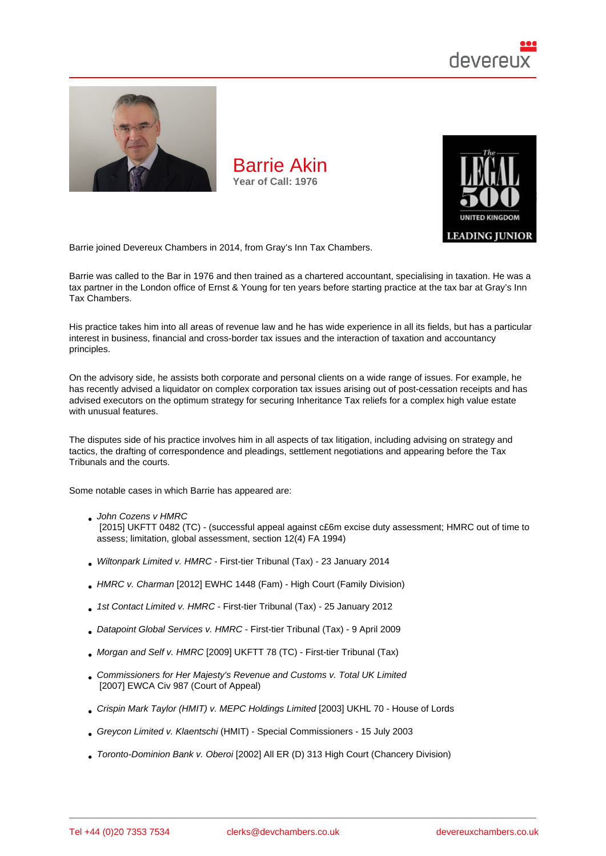

Barrie joined Devereux Chambers in 2014, from Gray's Inn Tax Chambers.

Barrie was called to the Bar in 1976 and then trained as a chartered accountant, specialising in taxation. He was a tax partner in the London office of Ernst & Young for ten years before starting practice at the tax bar at Gray's Inn Tax Chambers.

His practice takes him into all areas of revenue law and he has wide experience in all its fields, but has a particular interest in business, financial and cross-border tax issues and the interaction of taxation and accountancy principles.

On the advisory side, he assists both corporate and personal clients on a wide range of issues. For example, he has recently advised a liquidator on complex corporation tax issues arising out of post-cessation receipts and has advised executors on the optimum strategy for securing Inheritance Tax reliefs for a complex high value estate with unusual features.

The disputes side of his practice involves him in all aspects of tax litigation, including advising on strategy and tactics, the drafting of correspondence and pleadings, settlement negotiations and appearing before the Tax Tribunals and the courts.

Some notable cases in which Barrie has appeared are:

John Cozens v HMRC

 [2015] UKFTT 0482 (TC) - (successful appeal against c£6m excise duty assessment; HMRC out of time to assess; limitation, global assessment, section 12(4) FA 1994)

- Wiltonpark Limited v. HMRC First-tier Tribunal (Tax) 23 January 2014
- HMRC v. Charman [2012] EWHC 1448 (Fam) High Court (Family Division)
- 1st Contact Limited v. HMRC First-tier Tribunal (Tax) 25 January 2012
- Datapoint Global Services v. HMRC First-tier Tribunal (Tax) 9 April 2009
- Morgan and Self v. HMRC [2009] UKFTT 78 (TC) First-tier Tribunal (Tax)
- Commissioners for Her Majesty's Revenue and Customs v. Total UK Limited [2007] EWCA Civ 987 (Court of Appeal)
- Crispin Mark Taylor (HMIT) v. MEPC Holdings Limited [2003] UKHL 70 House of Lords
- Greycon Limited v. Klaentschi (HMIT) Special Commissioners 15 July 2003
- Toronto-Dominion Bank v. Oberoi [2002] All ER (D) 313 High Court (Chancery Division)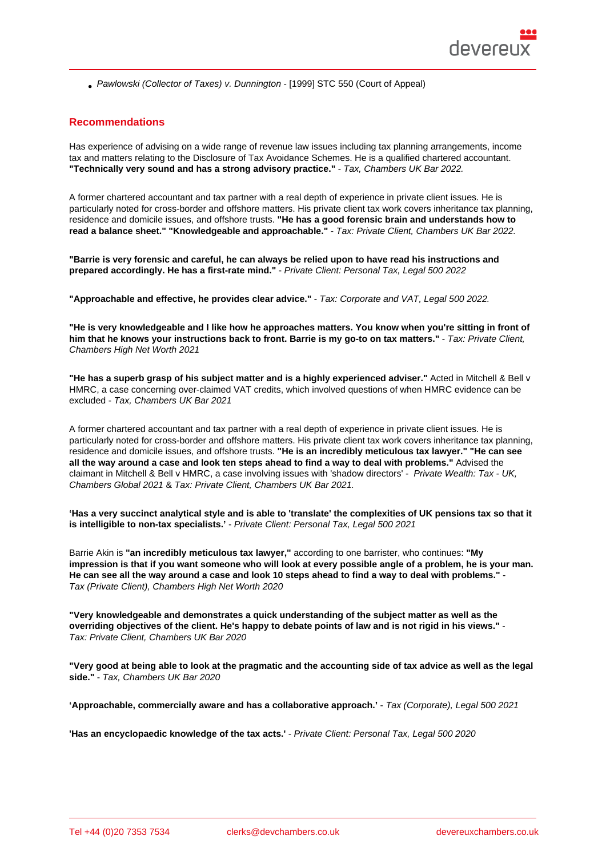Pawlowski (Collector of Taxes) v. Dunnington - [1999] STC 550 (Court of Appeal)

## Recommendations

Has experience of advising on a wide range of revenue law issues including tax planning arrangements, income tax and matters relating to the Disclosure of Tax Avoidance Schemes. He is a qualified chartered accountant. "Technically very sound and has a strong advisory practice." - Tax, Chambers UK Bar 2022.

A former chartered accountant and tax partner with a real depth of experience in private client issues. He is particularly noted for cross-border and offshore matters. His private client tax work covers inheritance tax planning, residence and domicile issues, and offshore trusts. "He has a good forensic brain and understands how to read a balance sheet." "Knowledgeable and approachable." - Tax: Private Client, Chambers UK Bar 2022.

"Barrie is very forensic and careful, he can always be relied upon to have read his instructions and prepared accordingly. He has a first-rate mind." - Private Client: Personal Tax, Legal 500 2022

"Approachable and effective, he provides clear advice." - Tax: Corporate and VAT, Legal 500 2022.

"He is very knowledgeable and I like how he approaches matters. You know when you're sitting in front of him that he knows your instructions back to front. Barrie is my go-to on tax matters." Tax: Private Client, Chambers High Net Worth 2021

"He has a superb grasp of his subject matter and is a highly experienced adviser." Acted in Mitchell & Bell v HMRC, a case concerning over-claimed VAT credits, which involved questions of when HMRC evidence can be excluded - Tax, Chambers UK Bar 2021

A former chartered accountant and tax partner with a real depth of experience in private client issues. He is particularly noted for cross-border and offshore matters. His private client tax work covers inheritance tax planning, residence and domicile issues, and offshore trusts. "He is an incredibly meticulous tax lawyer." "He can see all the way around a case and look ten steps ahead to find a way to deal with problems." Advised the claimant in Mitchell & Bell v HMRC, a case involving issues with 'shadow directors' - Private Wealth: Tax - UK, Chambers Global 2021 & Tax: Private Client, Chambers UK Bar 2021.

'Has a very succinct analytical style and is able to 'translate' the complexities of UK pensions tax so that it is intelligible to non-tax specialists.' - Private Client: Personal Tax, Legal 500 2021

Barrie Akin is "an incredibly meticulous tax lawyer," according to one barrister, who continues: "My impression is that if you want someone who will look at every possible angle of a problem, he is your man. He can see all the way around a case and look 10 steps ahead to find a way to deal with problems." Tax (Private Client), Chambers High Net Worth 2020

"Very knowledgeable and demonstrates a quick understanding of the subject matter as well as the overriding objectives of the client. He's happy to debate points of law and is not rigid in his views." Tax: Private Client, Chambers UK Bar 2020

"Very good at being able to look at the pragmatic and the accounting side of tax advice as well as the legal side." - Tax, Chambers UK Bar 2020

'Approachable, commercially aware and has a collaborative approach.' - Tax (Corporate), Legal 500 2021

'Has an encyclopaedic knowledge of the tax acts.' - Private Client: Personal Tax, Legal 500 2020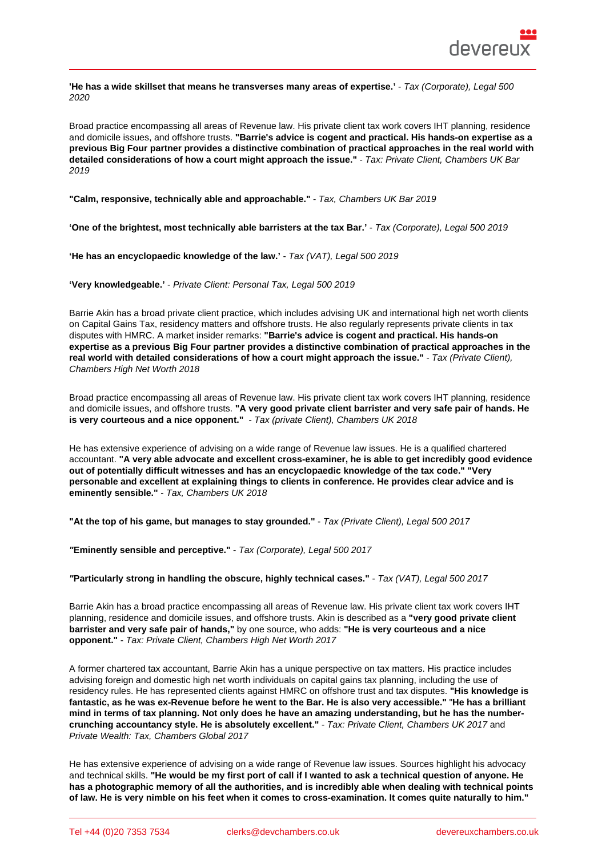'He has a wide skillset that means he transverses many areas of expertise.' - Tax (Corporate), Legal 500 2020

Broad practice encompassing all areas of Revenue law. His private client tax work covers IHT planning, residence and domicile issues, and offshore trusts. "Barrie's advice is cogent and practical. His hands-on expertise as a previous Big Four partner provides a distinctive combination of practical approaches in the real world with detailed considerations of how a court might approach the issue." - Tax: Private Client, Chambers UK Bar 2019

| "Calm, responsive, technically able and approachable."<br>- Tax, Chambers UK Bar 2019 |  |                                   |
|---------------------------------------------------------------------------------------|--|-----------------------------------|
| 'One of the brightest, most technically able barristers at the tax Bar.'              |  | - Tax (Corporate), Legal 500 2019 |
| 'He has an encyclopaedic knowledge of the law.'<br>- Tax (VAT), Legal 500 2019        |  |                                   |
| - Private Client: Personal Tax, Legal 500 2019<br>'Very knowledgeable.'               |  |                                   |

Barrie Akin has a broad private client practice, which includes advising UK and international high net worth clients on Capital Gains Tax, residency matters and offshore trusts. He also regularly represents private clients in tax disputes with HMRC. A market insider remarks: "Barrie's advice is cogent and practical. His hands-on expertise as a previous Big Four partner provides a distinctive combination of practical approaches in the real world with detailed considerations of how a court might approach the issue." - Tax (Private Client), Chambers High Net Worth 2018

Broad practice encompassing all areas of Revenue law. His private client tax work covers IHT planning, residence and domicile issues, and offshore trusts. "A very good private client barrister and very safe pair of hands. He is very courteous and a nice opponent." - Tax (private Client), Chambers UK 2018

He has extensive experience of advising on a wide range of Revenue law issues. He is a qualified chartered accountant. "A very able advocate and excellent cross-examiner, he is able to get incredibly good evidence out of potentially difficult witnesses and has an encyclopaedic knowledge of the tax code." "Very personable and excellent at explaining things to clients in conference. He provides clear advice and is eminently sensible." - Tax, Chambers UK 2018

"At the top of his game, but manages to stay grounded." - Tax (Private Client), Legal 500 2017

"Eminently sensible and perceptive." - Tax (Corporate), Legal 500 2017

"Particularly strong in handling the obscure, highly technical cases." - Tax (VAT), Legal 500 2017

Barrie Akin has a broad practice encompassing all areas of Revenue law. His private client tax work covers IHT planning, residence and domicile issues, and offshore trusts. Akin is described as a "very good private client barrister and very safe pair of hands," by one source, who adds: "He is very courteous and a nice opponent." - Tax: Private Client, Chambers High Net Worth 2017

A former chartered tax accountant, Barrie Akin has a unique perspective on tax matters. His practice includes advising foreign and domestic high net worth individuals on capital gains tax planning, including the use of residency rules. He has represented clients against HMRC on offshore trust and tax disputes. "His knowledge is fantastic, as he was ex-Revenue before he went to the Bar. He is also very accessible." "He has a brilliant mind in terms of tax planning. Not only does he have an amazing understanding, but he has the numbercrunching accountancy style. He is absolutely excellent." - Tax: Private Client, Chambers UK 2017 and Private Wealth: Tax, Chambers Global 2017

He has extensive experience of advising on a wide range of Revenue law issues. Sources highlight his advocacy and technical skills. "He would be my first port of call if I wanted to ask a technical question of anyone. He has a photographic memory of all the authorities, and is incredibly able when dealing with technical points of law. He is very nimble on his feet when it comes to cross-examination. It comes quite naturally to him."